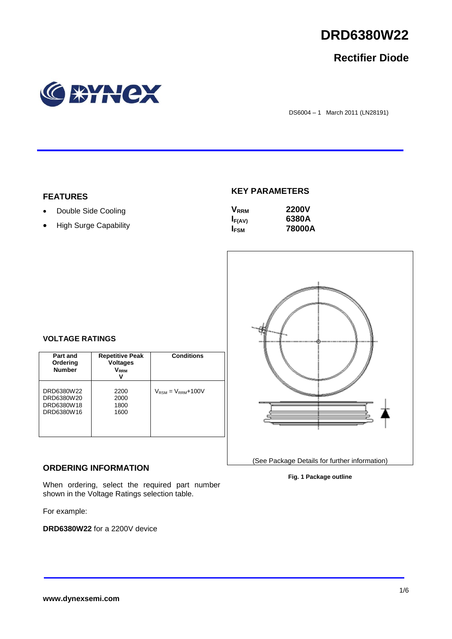

## **Rectifier Diode**



DS6004 – 1 March 2011 (LN28191)

## **FEATURES**

- Double Side Cooling
- High Surge Capability

## **KEY PARAMETERS**

| <b>V</b> <sub>RRM</sub> | <b>2200V</b> |
|-------------------------|--------------|
| $I_{F(AV)}$             | 6380A        |
| <b>I</b> <sub>FSM</sub> | 78000A       |



## **VOLTAGE RATINGS**

| Part and<br>Ordering<br><b>Number</b>                | <b>Repetitive Peak</b><br><b>Voltages</b><br>$\mathsf{V}_\mathsf{RRM}$ | <b>Conditions</b>                        |
|------------------------------------------------------|------------------------------------------------------------------------|------------------------------------------|
| DRD6380W22<br>DRD6380W20<br>DRD6380W18<br>DRD6380W16 | 2200<br>2000<br>1800<br>1600                                           | $V_{\text{RSM}} = V_{\text{RRM}} + 100V$ |

## **ORDERING INFORMATION**

When ordering, select the required part number shown in the Voltage Ratings selection table.

For example:

**DRD6380W22** for a 2200V device

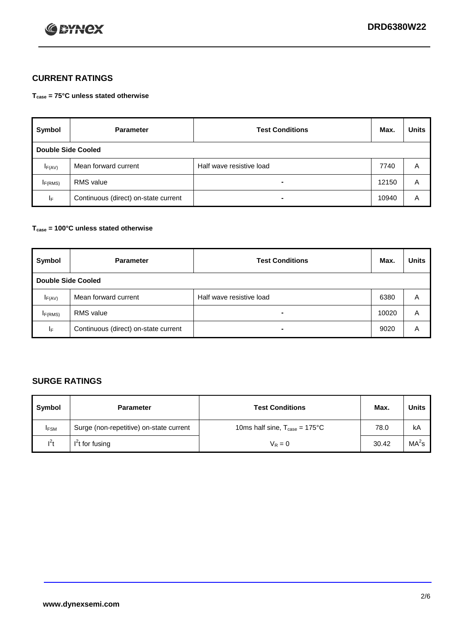

## **CURRENT RATINGS**

**Tcase = 75°C unless stated otherwise**

| Symbol             | <b>Parameter</b>                     | <b>Test Conditions</b>   | Max.  | <b>Units</b> |  |
|--------------------|--------------------------------------|--------------------------|-------|--------------|--|
| Double Side Cooled |                                      |                          |       |              |  |
| $I_{F(AV)}$        | Mean forward current                 | Half wave resistive load | 7740  | A            |  |
| IF(RMS)            | <b>RMS</b> value                     | $\blacksquare$           | 12150 | A            |  |
| IF.                | Continuous (direct) on-state current | -                        | 10940 | Α            |  |

## **Tcase = 100°C unless stated otherwise**

| Symbol              | <b>Parameter</b>                     | <b>Test Conditions</b>   | Max.  | <b>Units</b> |  |  |
|---------------------|--------------------------------------|--------------------------|-------|--------------|--|--|
|                     | <b>Double Side Cooled</b>            |                          |       |              |  |  |
| $I_{F(AV)}$         | Mean forward current                 | Half wave resistive load | 6380  | Α            |  |  |
| I <sub>F(RMS)</sub> | <b>RMS</b> value                     | $\overline{\phantom{0}}$ | 10020 | A            |  |  |
| IF                  | Continuous (direct) on-state current | ۰                        | 9020  | A            |  |  |

## **SURGE RATINGS**

| Symbol      | <b>Parameter</b>                        | <b>Test Conditions</b>                           | Max.  | <b>Units</b>      |
|-------------|-----------------------------------------|--------------------------------------------------|-------|-------------------|
| <b>IFSM</b> | Surge (non-repetitive) on-state current | 10ms half sine, $T_{\text{case}} = 175^{\circ}C$ | 78.0  | kA                |
| $I^2t$      | I't for fusing                          | $V_R = 0$                                        | 30.42 | MA <sup>2</sup> s |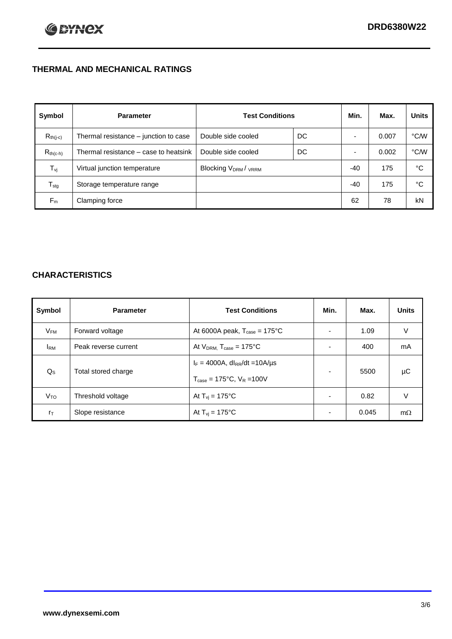## **THERMAL AND MECHANICAL RATINGS**

| Symbol           | <b>Parameter</b>                      | <b>Test Conditions</b>                      |    | Min. | Max.  | <b>Units</b> |
|------------------|---------------------------------------|---------------------------------------------|----|------|-------|--------------|
| $R_{th(j-c)}$    | Thermal resistance – junction to case | Double side cooled                          | DC |      | 0.007 | °C/W         |
| $R_{th(c-h)}$    | Thermal resistance – case to heatsink | Double side cooled                          | DC |      | 0.002 | °C/W         |
| $T_{\rm vj}$     | Virtual junction temperature          | Blocking V <sub>DRM</sub> / <sub>VRRM</sub> |    | -40  | 175   | °C           |
| $T_{\text{stg}}$ | Storage temperature range             |                                             |    | -40  | 175   | °C           |
| $F_m$            | Clamping force                        |                                             |    | 62   | 78    | kN           |

## **CHARACTERISTICS**

| Symbol                   | <b>Parameter</b>     | <b>Test Conditions</b>                                                                           | Min.           | Max.  | <b>Units</b> |
|--------------------------|----------------------|--------------------------------------------------------------------------------------------------|----------------|-------|--------------|
| $\mathsf{V}_\mathsf{FM}$ | Forward voltage      | At 6000A peak, $T_{\text{case}} = 175^{\circ}C$                                                  |                | 1.09  | V            |
| <b>I</b> <sub>RM</sub>   | Peak reverse current | At $V_{DRM}$ , $T_{case} = 175^{\circ}C$                                                         | ۰              | 400   | mA           |
| $Q_{\rm S}$              | Total stored charge  | $I_F = 4000A$ , dl <sub>RR</sub> /dt = 10A/us<br>$T_{\text{case}} = 175^{\circ}C$ , $V_R = 100V$ | ۰              | 5500  | μC           |
| V <sub>TO</sub>          | Threshold voltage    | At $T_{vi} = 175^{\circ}C$                                                                       | $\blacksquare$ | 0.82  | V            |
| $r_{\text{T}}$           | Slope resistance     | At $T_{vi} = 175^{\circ}C$                                                                       | ۰              | 0.045 | $m\Omega$    |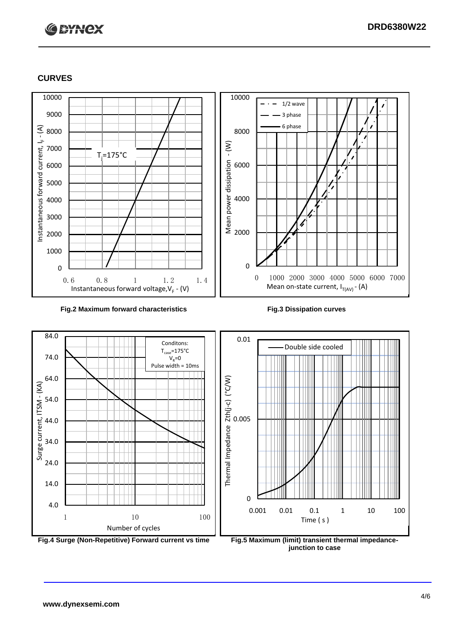# **C BYNCX**

## **CURVES**



### **Fig.2 Maximum forward characteristics Fig.3 Dissipation curves**



**junction to case**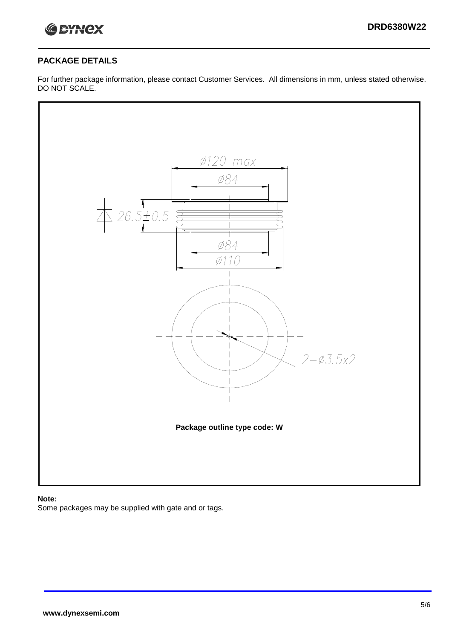

## **PACKAGE DETAILS**

For further package information, please contact Customer Services. All dimensions in mm, unless stated otherwise. DO NOT SCALE.



### **Note:**

Some packages may be supplied with gate and or tags.